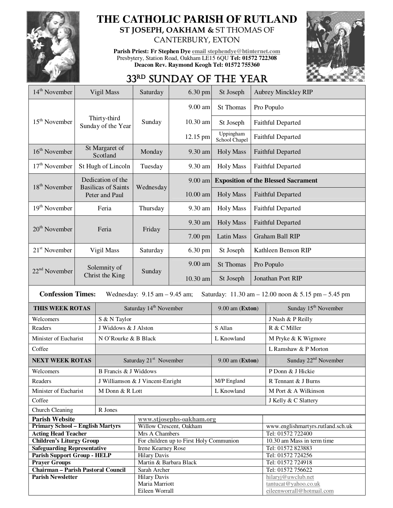

## **THE CATHOLIC PARISH OF RUTLAND ST JOSEPH, OAKHAM &** ST THOMAS OF

CANTERBURY, EXTON

**Parish Priest: Fr Stephen Dye email stephendye@btinternet.com** Presbytery, Station Road, Oakham LE15 6QU **Tel: 01572 722308 Deacon Rev. Raymond Keogh Tel: 01572 755360** 



## 33RD SUNDAY OF THE YEAR

| 14 <sup>th</sup> November                 |                            | Vigil Mass                                   | Saturday                                | 6.30 pm    | St Joseph                  | <b>Aubrey Minckley RIP</b>                 |                                                     |
|-------------------------------------------|----------------------------|----------------------------------------------|-----------------------------------------|------------|----------------------------|--------------------------------------------|-----------------------------------------------------|
|                                           |                            | Thirty-third<br>Sunday of the Year           | Sunday                                  | 9.00 am    | St Thomas                  | Pro Populo                                 |                                                     |
| 15 <sup>th</sup> November                 |                            |                                              |                                         | 10.30 am   | St Joseph                  | Faithful Departed                          |                                                     |
|                                           |                            |                                              |                                         | 12.15 pm   | Uppingham<br>School Chapel | <b>Faithful Departed</b>                   |                                                     |
| 16 <sup>th</sup> November                 | St Margaret of<br>Scotland |                                              | Monday                                  | 9.30 am    | <b>Holy Mass</b>           | <b>Faithful Departed</b>                   |                                                     |
| $17th$ November                           | St Hugh of Lincoln         |                                              | Tuesday                                 | 9.30 am    | <b>Holy Mass</b>           | Faithful Departed                          |                                                     |
|                                           |                            | Dedication of the                            | Wednesday                               | 9.00 am    |                            | <b>Exposition of the Blessed Sacrament</b> |                                                     |
| 18 <sup>th</sup> November                 |                            | <b>Basilicas of Saints</b><br>Peter and Paul |                                         | $10.00$ am | <b>Holy Mass</b>           | <b>Faithful Departed</b>                   |                                                     |
| $19th$ November                           |                            | Feria                                        | Thursday                                | 9.30 am    | <b>Holy Mass</b>           | <b>Faithful Departed</b>                   |                                                     |
| $20th$ November                           |                            | Feria                                        | Friday                                  | 9.30 am    | <b>Holy Mass</b>           | <b>Faithful Departed</b>                   |                                                     |
|                                           |                            |                                              |                                         | 7.00 pm    | <b>Latin Mass</b>          | <b>Graham Ball RIP</b>                     |                                                     |
| $21st$ November                           |                            | Vigil Mass                                   | Saturday                                | 6.30 pm    | St Joseph                  | Kathleen Benson RIP                        |                                                     |
| $22nd$ November                           |                            | Solemnity of                                 |                                         | 9.00 am    | <b>St Thomas</b>           | Pro Populo                                 |                                                     |
|                                           |                            | Christ the King                              | Sunday                                  | 10.30 am   | St Joseph                  | Jonathan Port RIP                          |                                                     |
| <b>Confession Times:</b>                  |                            |                                              | Wednesday: $9.15$ am $-9.45$ am;        |            |                            |                                            | Saturday: 11.30 am - 12.00 noon & 5.15 pm - 5.45 pm |
| THIS WEEK ROTAS                           |                            |                                              | Saturday 14 <sup>th</sup> November      |            | $9.00$ am (Exton)          |                                            | Sunday 15 <sup>th</sup> November                    |
| Welcomers                                 |                            | S & N Taylor                                 |                                         |            |                            |                                            | J Nash & P Reilly                                   |
| Readers                                   |                            | J Widdows & J Alston                         |                                         |            | S Allan                    |                                            | R & C Miller                                        |
| Minister of Eucharist                     |                            | N O'Rourke & B Black                         |                                         |            | L Knowland                 |                                            | M Pryke & K Wigmore                                 |
| Coffee                                    |                            |                                              |                                         |            |                            |                                            | L Ramshaw & P Morton                                |
| <b>NEXT WEEK ROTAS</b>                    |                            | Saturday 21 <sup>st</sup> November           |                                         |            | 9.00 am (Exton)            |                                            | Sunday 22 <sup>nd</sup> November                    |
| Welcomers                                 |                            | B Francis & J Widdows                        |                                         |            |                            |                                            | P Donn & J Hickie                                   |
| Readers                                   |                            | J Williamson & J Vincent-Enright             |                                         |            | M/P England                |                                            | R Tennant & J Burns                                 |
| Minister of Eucharist                     |                            | M Donn & R Lott                              |                                         |            | L Knowland                 |                                            | M Port & A Wilkinson                                |
| Coffee                                    |                            |                                              |                                         |            |                            | J Kelly & C Slattery                       |                                                     |
| Church Cleaning                           |                            | R Jones                                      |                                         |            |                            |                                            |                                                     |
| <b>Parish Website</b>                     |                            |                                              | www.stjosephs-oakham.org                |            |                            |                                            |                                                     |
| <b>Primary School - English Martyrs</b>   |                            |                                              | Willow Crescent, Oakham                 |            |                            |                                            | www.englishmartyrs.rutland.sch.uk                   |
| <b>Acting Head Teacher</b>                |                            |                                              | Mrs A Chambers                          |            |                            |                                            | Tel: 01572 722400                                   |
| <b>Children's Liturgy Group</b>           |                            |                                              | For children up to First Holy Communion |            |                            |                                            | 10.30 am Mass in term time                          |
| <b>Safeguarding Representative</b>        |                            |                                              | Irene Kearney Rose                      |            |                            |                                            | Tel: 01572 823883                                   |
| <b>Parish Support Group - HELP</b>        |                            |                                              | <b>Hilary Davis</b>                     |            |                            |                                            | Tel: 01572 724256                                   |
| <b>Prayer Groups</b>                      |                            |                                              | Martin & Barbara Black                  |            |                            |                                            | Tel: 01572 724918                                   |
| <b>Chairman - Parish Pastoral Council</b> |                            |                                              | Sarah Archer                            |            |                            |                                            | Tel: 01572 756622                                   |
| <b>Parish Newsletter</b>                  |                            |                                              | <b>Hilary Davis</b><br>Maria Marriott   |            |                            |                                            | hilaryj@uwclub.net<br>tantucat@yahoo.co.uk          |
|                                           |                            |                                              | Eileen Worrall                          |            |                            |                                            | eileenworrall@hotmail.com                           |